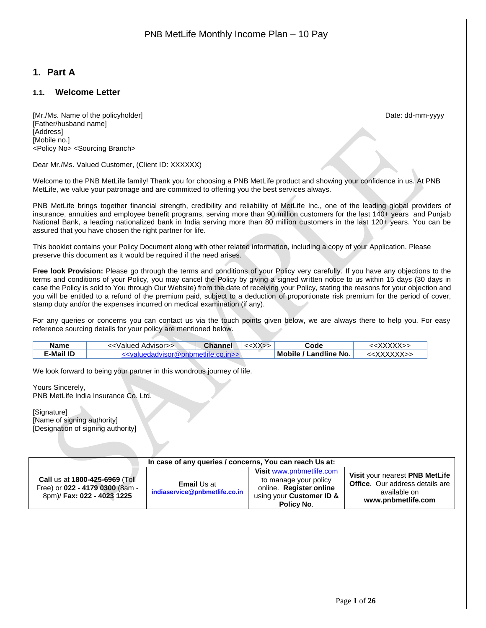## <span id="page-0-0"></span>**1. Part A**

### <span id="page-0-1"></span>**1.1. Welcome Letter**

[Mr./Ms. Name of the policyholder] example and the policyholder of the policyholder and the policyholder of the policyholder and the policyholder and the policyholder and the policyholder and the policyholder and the polic [Father/husband name] [Address] [Mobile no.] <Policy No> <Sourcing Branch>

Dear Mr./Ms. Valued Customer, (Client ID: XXXXXX)

Welcome to the PNB MetLife family! Thank you for choosing a PNB MetLife product and showing your confidence in us. At PNB MetLife, we value your patronage and are committed to offering you the best services always.

PNB MetLife brings together financial strength, credibility and reliability of MetLife Inc., one of the leading global providers of insurance, annuities and employee benefit programs, serving more than 90 million customers for the last 140+ years and Punjab National Bank, a leading nationalized bank in India serving more than 80 million customers in the last 120+ years. You can be assured that you have chosen the right partner for life.

This booklet contains your Policy Document along with other related information, including a copy of your Application. Please preserve this document as it would be required if the need arises.

**Free look Provision:** Please go through the terms and conditions of your Policy very carefully. If you have any objections to the terms and conditions of your Policy, you may cancel the Policy by giving a signed written notice to us within 15 days (30 days in case the Policy is sold to You through Our Website) from the date of receiving your Policy, stating the reasons for your objection and you will be entitled to a refund of the premium paid, subject to a deduction of proportionate risk premium for the period of cover, stamp duty and/or the expenses incurred on medical examination (if any).

For any queries or concerns you can contact us via the touch points given below, we are always there to help you. For easy reference sourcing details for your policy are mentioned below.

| Name      | Advisor>><br>∠Valued | <b>Channel</b> | $\mathcal{N}$ | Code                         |                     |
|-----------|----------------------|----------------|---------------|------------------------------|---------------------|
| E-Mail ID | sorkumomenin k       | ררוו ח         |               | / Landline No. .<br>Mobile / | <b>\/\/\/\/\/\/</b> |

We look forward to being your partner in this wondrous journey of life.

Yours Sincerely, PNB MetLife India Insurance Co. Ltd.

[Signature] [Name of signing authority] [Designation of signing authority]

| In case of any queries / concerns, You can reach Us at:                                         |                                                     |                                                                                                                        |                                                                                                                |  |
|-------------------------------------------------------------------------------------------------|-----------------------------------------------------|------------------------------------------------------------------------------------------------------------------------|----------------------------------------------------------------------------------------------------------------|--|
| Call us at 1800-425-6969 (Toll<br>Free) or 022 - 4179 0300 (8am -<br>8pm)/ Fax: 022 - 4023 1225 | <b>Email Us at</b><br>indiaservice@pnbmetlife.co.in | Visit www.pnbmetlife.com<br>to manage your policy<br>online. Register online<br>using your Customer ID &<br>Policy No. | Visit your nearest PNB MetLife<br><b>Office.</b> Our address details are<br>available on<br>www.pnbmetlife.com |  |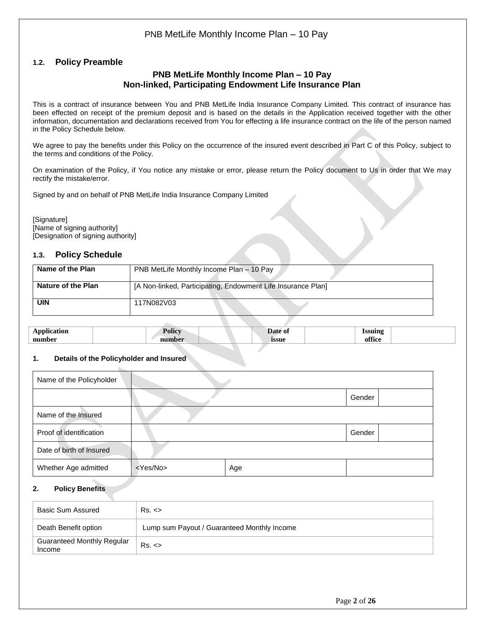### <span id="page-1-0"></span>**1.2. Policy Preamble**

### **PNB MetLife Monthly Income Plan – 10 Pay Non-linked, Participating Endowment Life Insurance Plan**

This is a contract of insurance between You and PNB MetLife India Insurance Company Limited. This contract of insurance has been effected on receipt of the premium deposit and is based on the details in the Application received together with the other information, documentation and declarations received from You for effecting a life insurance contract on the life of the person named in the Policy Schedule below.

We agree to pay the benefits under this Policy on the occurrence of the insured event described in Part C of this Policy, subject to the terms and conditions of the Policy.

On examination of the Policy, if You notice any mistake or error, please return the Policy document to Us in order that We may rectify the mistake/error.

Signed by and on behalf of PNB MetLife India Insurance Company Limited

[Signature] [Name of signing authority] [Designation of signing authority]

### <span id="page-1-1"></span>**1.3. Policy Schedule**

| Name of the Plan   | PNB MetLife Monthly Income Plan - 10 Pay                     |
|--------------------|--------------------------------------------------------------|
| Nature of the Plan | [A Non-linked, Participating, Endowment Life Insurance Plan] |
| UIN                | 117N082V03                                                   |

| $\sim$<br>$\ddot{\phantom{1}}$ | 201203<br>-опс | -01          |  |
|--------------------------------|----------------|--------------|--|
| number                         | י ה            | <i>issue</i> |  |
|                                |                |              |  |

### **1. Details of the Policyholder and Insured**

| Name of the Policyholder |                   |     |        |
|--------------------------|-------------------|-----|--------|
|                          |                   |     | Gender |
| Name of the Insured      |                   |     |        |
| Proof of identification  |                   |     | Gender |
| Date of birth of Insured |                   |     |        |
| Whether Age admitted     | <yes no=""></yes> | Age |        |

### **2. Policy Benefits**

| Basic Sum Assured                           | $Rs. \leq$                                  |
|---------------------------------------------|---------------------------------------------|
| Death Benefit option                        | Lump sum Payout / Guaranteed Monthly Income |
| <b>Guaranteed Monthly Regular</b><br>Income | $Rs. \leq$                                  |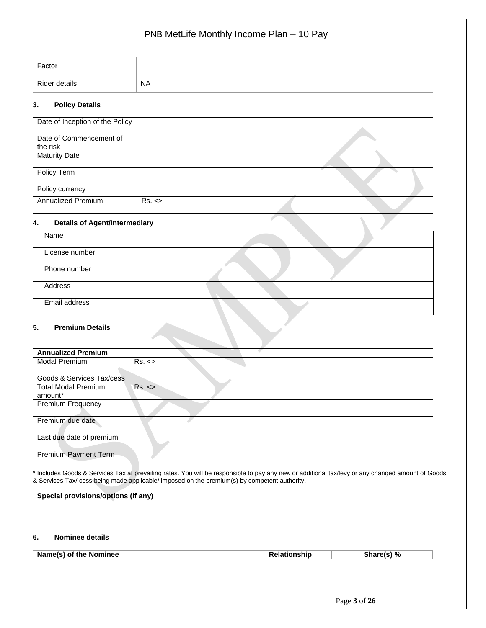| Factor        |           |
|---------------|-----------|
| Rider details | <b>NA</b> |

### **3. Policy Details**

| Date of Inception of the Policy     |       |  |  |
|-------------------------------------|-------|--|--|
| Date of Commencement of<br>the risk |       |  |  |
| <b>Maturity Date</b>                |       |  |  |
| Policy Term                         |       |  |  |
| Policy currency                     |       |  |  |
| <b>Annualized Premium</b>           | Rs. < |  |  |

### **4. Details of Agent/Intermediary**

| Name           |  |
|----------------|--|
|                |  |
| License number |  |
|                |  |
| Phone number   |  |
|                |  |
| Address        |  |
|                |  |
| Email address  |  |
|                |  |

### **5. Premium Details**

| <b>Annualized Premium</b>  |       |
|----------------------------|-------|
| <b>Modal Premium</b>       | Rs. < |
|                            |       |
| Goods & Services Tax/cess  |       |
| <b>Total Modal Premium</b> | Rs. < |
| amount*                    |       |
| <b>Premium Frequency</b>   |       |
|                            |       |
| Premium due date           |       |
|                            |       |
| Last due date of premium   |       |
|                            |       |
| Premium Payment Term       |       |
|                            |       |

**\*** Includes Goods & Services Tax at prevailing rates. You will be responsible to pay any new or additional tax/levy or any changed amount of Goods & Services Tax/ cess being made applicable/ imposed on the premium(s) by competent authority.

| <sup>1</sup> Special provisions/options (if any) |  |
|--------------------------------------------------|--|
|                                                  |  |

### **6. Nominee details**

| Name(s) of the Nominee | <b>Relationship</b> | \ %<br>Share(s) |
|------------------------|---------------------|-----------------|
|                        |                     |                 |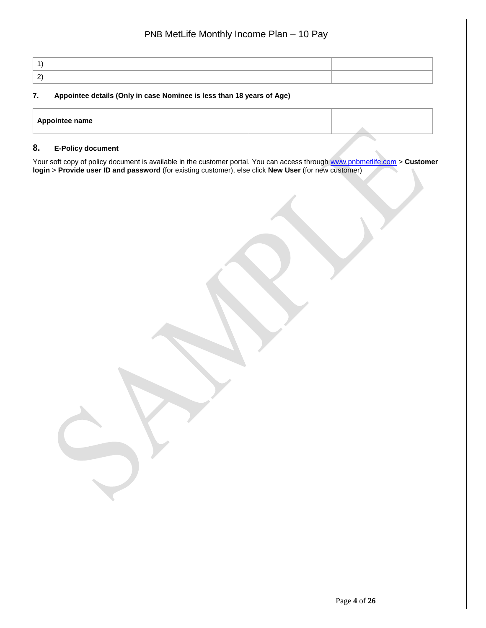| $\sim$ |  |
|--------|--|

### **7. Appointee details (Only in case Nominee is less than 18 years of Age)**

| Appointee name |  |  |
|----------------|--|--|
|                |  |  |
|                |  |  |

### **8. E-Policy document**

Your soft copy of policy document is available in the customer portal. You can access through [www.pnbmetlife.com](http://www.pnbmetlife.com/) > **Customer login** > **Provide user ID and password** (for existing customer), else click **New User** (for new customer)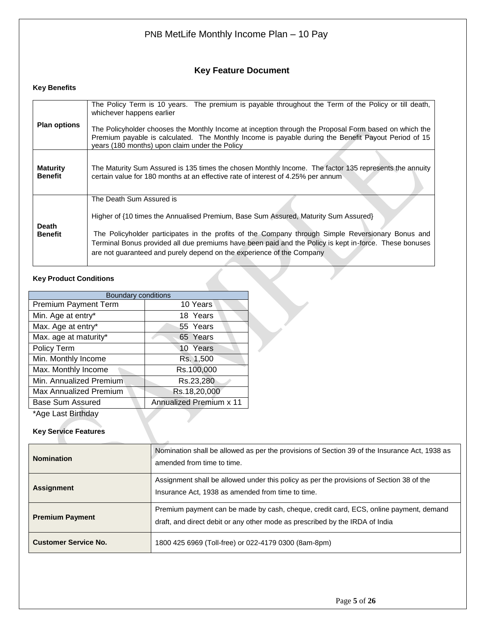## **Key Feature Document**

### **Key Benefits**

| <b>Plan options</b>               | The Policy Term is 10 years. The premium is payable throughout the Term of the Policy or till death,<br>whichever happens earlier<br>The Policyholder chooses the Monthly Income at inception through the Proposal Form based on which the<br>Premium payable is calculated. The Monthly Income is payable during the Benefit Payout Period of 15                                                       |
|-----------------------------------|---------------------------------------------------------------------------------------------------------------------------------------------------------------------------------------------------------------------------------------------------------------------------------------------------------------------------------------------------------------------------------------------------------|
|                                   | years (180 months) upon claim under the Policy                                                                                                                                                                                                                                                                                                                                                          |
| <b>Maturity</b><br><b>Benefit</b> | The Maturity Sum Assured is 135 times the chosen Monthly Income. The factor 135 represents the annuity<br>certain value for 180 months at an effective rate of interest of 4.25% per annum                                                                                                                                                                                                              |
| Death<br><b>Benefit</b>           | The Death Sum Assured is<br>Higher of {10 times the Annualised Premium, Base Sum Assured, Maturity Sum Assured}<br>The Policyholder participates in the profits of the Company through Simple Reversionary Bonus and<br>Terminal Bonus provided all due premiums have been paid and the Policy is kept in-force. These bonuses<br>are not guaranteed and purely depend on the experience of the Company |

### **Key Product Conditions**

| <b>Boundary conditions</b>  |                         |  |  |  |  |  |
|-----------------------------|-------------------------|--|--|--|--|--|
| <b>Premium Payment Term</b> | 10 Years                |  |  |  |  |  |
| Min. Age at entry*          | 18 Years                |  |  |  |  |  |
| Max. Age at entry*          | 55 Years                |  |  |  |  |  |
| Max. age at maturity*       | 65 Years                |  |  |  |  |  |
| Policy Term                 | 10 Years                |  |  |  |  |  |
| Min. Monthly Income         | Rs. 1,500               |  |  |  |  |  |
| Max. Monthly Income         | Rs.100,000              |  |  |  |  |  |
| Min. Annualized Premium     | Rs.23,280               |  |  |  |  |  |
| Max Annualized Premium      | Rs.18,20,000            |  |  |  |  |  |
| Base Sum Assured            | Annualized Premium x 11 |  |  |  |  |  |
| *Age Last Birthday          |                         |  |  |  |  |  |
|                             |                         |  |  |  |  |  |

### **Key Service Features**

| <b>Nomination</b>           | Nomination shall be allowed as per the provisions of Section 39 of the Insurance Act, 1938 as<br>amended from time to time.                                           |
|-----------------------------|-----------------------------------------------------------------------------------------------------------------------------------------------------------------------|
| <b>Assignment</b>           | Assignment shall be allowed under this policy as per the provisions of Section 38 of the<br>Insurance Act, 1938 as amended from time to time.                         |
| <b>Premium Payment</b>      | Premium payment can be made by cash, cheque, credit card, ECS, online payment, demand<br>draft, and direct debit or any other mode as prescribed by the IRDA of India |
| <b>Customer Service No.</b> | 1800 425 6969 (Toll-free) or 022-4179 0300 (8am-8pm)                                                                                                                  |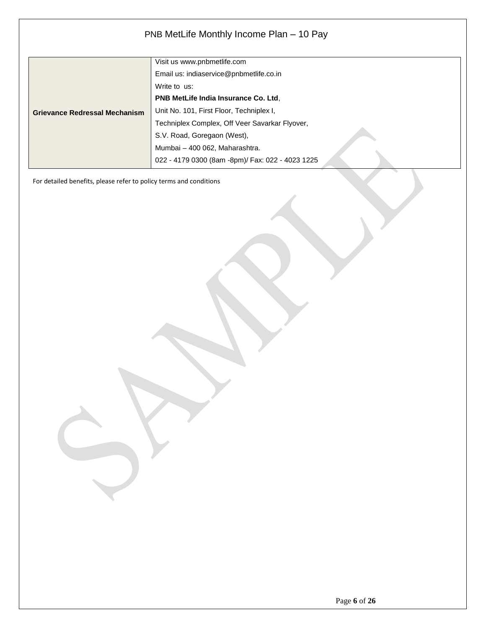|                                      | Visit us www.pnbmetlife.com                      |
|--------------------------------------|--------------------------------------------------|
|                                      | Email us: indiaservice@pnbmetlife.co.in          |
|                                      | Write to us:                                     |
|                                      | <b>PNB MetLife India Insurance Co. Ltd.</b>      |
| <b>Grievance Redressal Mechanism</b> | Unit No. 101, First Floor, Techniplex I,         |
|                                      | Techniplex Complex, Off Veer Savarkar Flyover,   |
|                                      | S.V. Road, Goregaon (West),                      |
|                                      | Mumbai - 400 062, Maharashtra.                   |
|                                      | 022 - 4179 0300 (8am -8pm)/ Fax: 022 - 4023 1225 |

For detailed benefits, please refer to policy terms and conditions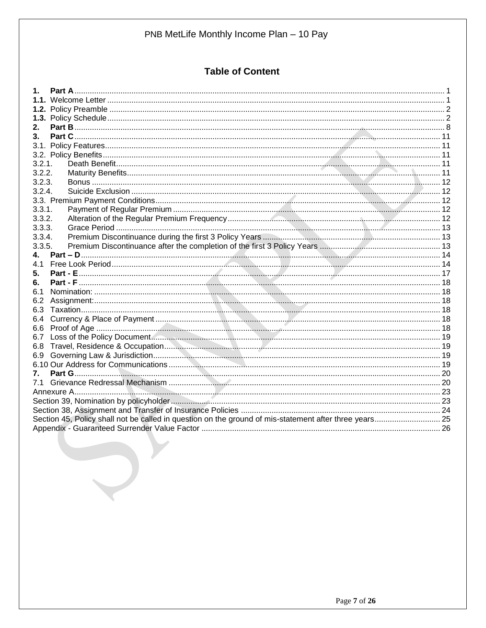## **Table of Content**

| 2.                                                                                                     |  |
|--------------------------------------------------------------------------------------------------------|--|
| $3_{-}$                                                                                                |  |
|                                                                                                        |  |
|                                                                                                        |  |
| 3.2.1.                                                                                                 |  |
| 3.2.2.                                                                                                 |  |
| 3.2.3.                                                                                                 |  |
| 3.2.4.                                                                                                 |  |
|                                                                                                        |  |
| 3.3.1.                                                                                                 |  |
| 3.3.2.                                                                                                 |  |
| 3.3.3.                                                                                                 |  |
| 3.3.4.                                                                                                 |  |
| 3.3.5.                                                                                                 |  |
| 4.                                                                                                     |  |
| 41                                                                                                     |  |
| 5.                                                                                                     |  |
| 6.                                                                                                     |  |
| 6.1                                                                                                    |  |
| 6.2                                                                                                    |  |
| 6.3                                                                                                    |  |
| 6.4                                                                                                    |  |
| 6.6                                                                                                    |  |
| 6.7                                                                                                    |  |
| 6.8                                                                                                    |  |
| 6.9                                                                                                    |  |
|                                                                                                        |  |
| 7.                                                                                                     |  |
|                                                                                                        |  |
|                                                                                                        |  |
|                                                                                                        |  |
| Section 45, Policy shall not be called in question on the ground of mis-statement after three years 25 |  |
|                                                                                                        |  |
|                                                                                                        |  |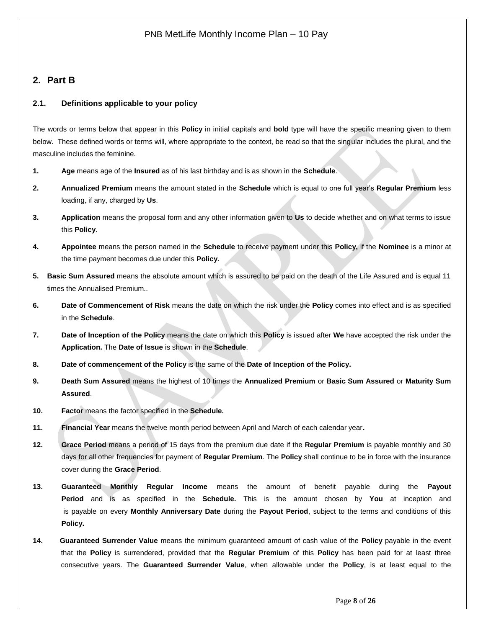## <span id="page-7-0"></span>**2. Part B**

### **2.1. Definitions applicable to your policy**

The words or terms below that appear in this **Policy** in initial capitals and **bold** type will have the specific meaning given to them below. These defined words or terms will, where appropriate to the context, be read so that the singular includes the plural, and the masculine includes the feminine.

- **1. Age** means age of the **Insured** as of his last birthday and is as shown in the **Schedule**.
- **2. Annualized Premium** means the amount stated in the **Schedule** which is equal to one full year's **Regular Premium** less loading, if any, charged by **Us**.
- **3. Application** means the proposal form and any other information given to **Us** to decide whether and on what terms to issue this **Policy**.
- **4. Appointee** means the person named in the **Schedule** to receive payment under this **Policy,** if the **Nominee** is a minor at the time payment becomes due under this **Policy.**
- **5. Basic Sum Assured** means the absolute amount which is assured to be paid on the death of the Life Assured and is equal 11 times the Annualised Premium..
- **6. Date of Commencement of Risk** means the date on which the risk under the **Policy** comes into effect and is as specified in the **Schedule**.
- **7. Date of Inception of the Policy** means the date on which this **Policy** is issued after **We** have accepted the risk under the **Application.** The **Date of Issue** is shown in the **Schedule**.
- **8. Date of commencement of the Policy** is the same of the **Date of Inception of the Policy.**
- **9. Death Sum Assured** means the highest of 10 times the **Annualized Premium** or **Basic Sum Assured** or **Maturity Sum Assured**.
- **10. Factor** means the factor specified in the **Schedule.**
- **11. Financial Year** means the twelve month period between April and March of each calendar year**.**
- **12. Grace Period** means a period of 15 days from the premium due date if the **Regular Premium** is payable monthly and 30 days for all other frequencies for payment of **Regular Premium**. The **Policy** shall continue to be in force with the insurance cover during the **Grace Period**.
- **13. Guaranteed Monthly Regular Income** means the amount of benefit payable during the **Payout Period** and is as specified in the **Schedule.** This is the amount chosen by **You** at inception and is payable on every **Monthly Anniversary Date** during the **Payout Period**, subject to the terms and conditions of this **Policy.**
- **14. Guaranteed Surrender Value** means the minimum guaranteed amount of cash value of the **Policy** payable in the event that the **Policy** is surrendered, provided that the **Regular Premium** of this **Policy** has been paid for at least three consecutive years. The **Guaranteed Surrender Value**, when allowable under the **Policy**, is at least equal to the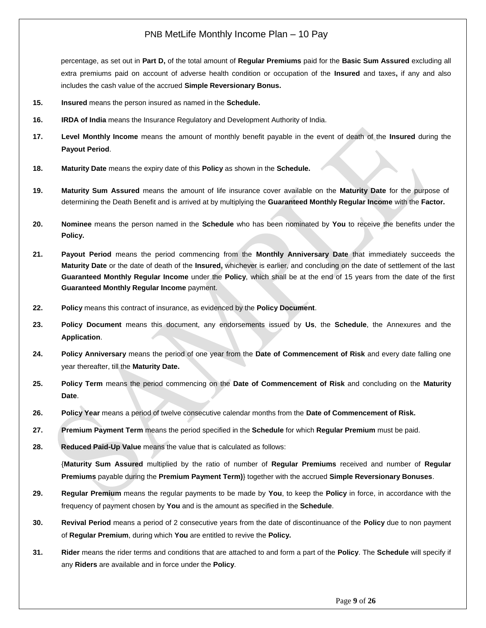percentage, as set out in **Part D,** of the total amount of **Regular Premiums** paid for the **Basic Sum Assured** excluding all extra premiums paid on account of adverse health condition or occupation of the **Insured** and taxes**,** if any and also includes the cash value of the accrued **Simple Reversionary Bonus.**

- **15. Insured** means the person insured as named in the **Schedule.**
- **16. IRDA of India** means the Insurance Regulatory and Development Authority of India.
- **17. Level Monthly Income** means the amount of monthly benefit payable in the event of death of the **Insured** during the **Payout Period**.
- **18. Maturity Date** means the expiry date of this **Policy** as shown in the **Schedule.**
- **19. Maturity Sum Assured** means the amount of life insurance cover available on the **Maturity Date** for the purpose of determining the Death Benefit and is arrived at by multiplying the **Guaranteed Monthly Regular Income** with the **Factor.**
- **20. Nominee** means the person named in the **Schedule** who has been nominated by **You** to receive the benefits under the **Policy.**
- **21. Payout Period** means the period commencing from the **Monthly Anniversary Date** that immediately succeeds the **Maturity Date** or the date of death of the **Insured,** whichever is earlier, and concluding on the date of settlement of the last **Guaranteed Monthly Regular Income** under the **Policy**, which shall be at the end of 15 years from the date of the first **Guaranteed Monthly Regular Income** payment.
- **22. Policy** means this contract of insurance, as evidenced by the **Policy Document**.
- **23. Policy Document** means this document, any endorsements issued by **Us**, the **Schedule**, the Annexures and the **Application**.
- **24. Policy Anniversary** means the period of one year from the **Date of Commencement of Risk** and every date falling one year thereafter, till the **Maturity Date.**
- **25. Policy Term** means the period commencing on the **Date of Commencement of Risk** and concluding on the **Maturity Date**.
- **26. Policy Year** means a period of twelve consecutive calendar months from the **Date of Commencement of Risk.**
- **27. Premium Payment Term** means the period specified in the **Schedule** for which **Regular Premium** must be paid.
- **28. Reduced Paid-Up Value** means the value that is calculated as follows:

{**Maturity Sum Assured** multiplied by the ratio of number of **Regular Premiums** received and number of **Regular Premiums** payable during the **Premium Payment Term)**} together with the accrued **Simple Reversionary Bonuses**.

- **29. Regular Premium** means the regular payments to be made by **You**, to keep the **Policy** in force, in accordance with the frequency of payment chosen by **You** and is the amount as specified in the **Schedule**.
- **30. Revival Period** means a period of 2 consecutive years from the date of discontinuance of the **Policy** due to non payment of **Regular Premium**, during which **You** are entitled to revive the **Policy.**
- **31. Rider** means the rider terms and conditions that are attached to and form a part of the **Policy**. The **Schedule** will specify if any **Riders** are available and in force under the **Policy**.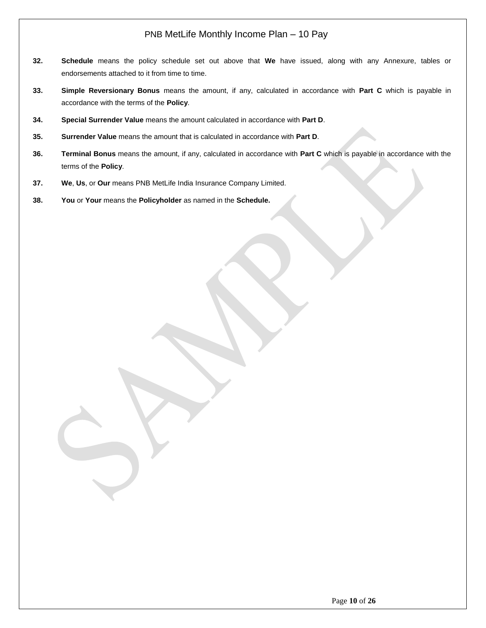- **32. Schedule** means the policy schedule set out above that **We** have issued, along with any Annexure, tables or endorsements attached to it from time to time.
- **33. Simple Reversionary Bonus** means the amount, if any, calculated in accordance with **Part C** which is payable in accordance with the terms of the **Policy**.
- **34. Special Surrender Value** means the amount calculated in accordance with **Part D**.
- **35. Surrender Value** means the amount that is calculated in accordance with **Part D**.
- **36. Terminal Bonus** means the amount, if any, calculated in accordance with **Part C** which is payable in accordance with the terms of the **Policy**.
- **37. We**, **Us**, or **Our** means PNB MetLife India Insurance Company Limited.
- **38. You** or **Your** means the **Policyholder** as named in the **Schedule.**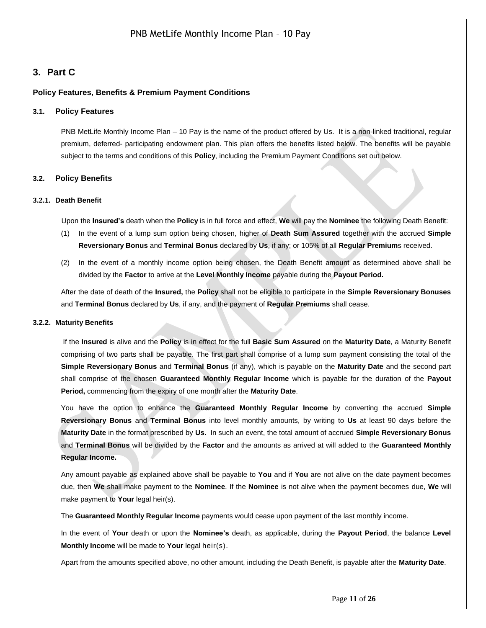### <span id="page-10-0"></span>**3. Part C**

### <span id="page-10-1"></span>**Policy Features, Benefits & Premium Payment Conditions**

#### **3.1. Policy Features**

PNB MetLife Monthly Income Plan – 10 Pay is the name of the product offered by Us. It is a non-linked traditional, regular premium, deferred- participating endowment plan. This plan offers the benefits listed below. The benefits will be payable subject to the terms and conditions of this **Policy**, including the Premium Payment Conditions set out below.

#### <span id="page-10-2"></span>**3.2. Policy Benefits**

#### <span id="page-10-3"></span>**3.2.1. Death Benefit**

Upon the **Insured's** death when the **Policy** is in full force and effect, **We** will pay the **Nominee** the following Death Benefit:

- (1) In the event of a lump sum option being chosen, higher of **Death Sum Assured** together with the accrued **Simple Reversionary Bonus** and **Terminal Bonus** declared by **Us**, if any; or 105% of all **Regular Premium**s received.
- (2) In the event of a monthly income option being chosen, the Death Benefit amount as determined above shall be divided by the **Factor** to arrive at the **Level Monthly Income** payable during the **Payout Period.**

After the date of death of the **Insured,** the **Policy** shall not be eligible to participate in the **Simple Reversionary Bonuses** and **Terminal Bonus** declared by **Us**, if any, and the payment of **Regular Premiums** shall cease.

#### <span id="page-10-4"></span>**3.2.2. Maturity Benefits**

If the **Insured** is alive and the **Policy** is in effect for the full **Basic Sum Assured** on the **Maturity Date**, a Maturity Benefit comprising of two parts shall be payable. The first part shall comprise of a lump sum payment consisting the total of the **Simple Reversionary Bonus** and **Terminal Bonus** (if any), which is payable on the **Maturity Date** and the second part shall comprise of the chosen **Guaranteed Monthly Regular Income** which is payable for the duration of the **Payout Period,** commencing from the expiry of one month after the **Maturity Date**.

You have the option to enhance the **Guaranteed Monthly Regular Income** by converting the accrued **Simple Reversionary Bonus** and **Terminal Bonus** into level monthly amounts, by writing to **Us** at least 90 days before the **Maturity Date** in the format prescribed by **Us.** In such an event, the total amount of accrued **Simple Reversionary Bonus** and **Terminal Bonus** will be divided by the **Factor** and the amounts as arrived at will added to the **Guaranteed Monthly Regular Income.**

Any amount payable as explained above shall be payable to **You** and if **You** are not alive on the date payment becomes due, then **We** shall make payment to the **Nominee**. If the **Nominee** is not alive when the payment becomes due, **We** will make payment to **Your** legal heir(s).

The **Guaranteed Monthly Regular Income** payments would cease upon payment of the last monthly income.

In the event of **Your** death or upon the **Nominee's** death, as applicable, during the **Payout Period**, the balance **Level Monthly Income** will be made to **Your** legal heir(s).

Apart from the amounts specified above, no other amount, including the Death Benefit, is payable after the **Maturity Date**.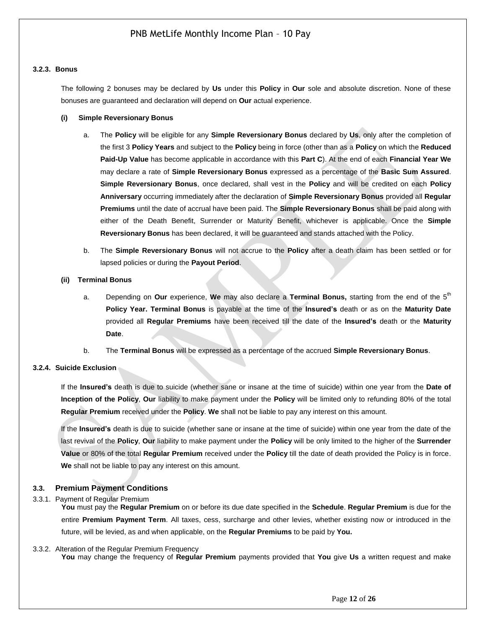#### <span id="page-11-0"></span>**3.2.3. Bonus**

The following 2 bonuses may be declared by **Us** under this **Policy** in **Our** sole and absolute discretion. None of these bonuses are guaranteed and declaration will depend on **Our** actual experience.

#### **(i) Simple Reversionary Bonus**

- a. The **Policy** will be eligible for any **Simple Reversionary Bonus** declared by **Us**, only after the completion of the first 3 **Policy Years** and subject to the **Policy** being in force (other than as a **Policy** on which the **Reduced Paid-Up Value** has become applicable in accordance with this **Part C**). At the end of each **Financial Year We** may declare a rate of **Simple Reversionary Bonus** expressed as a percentage of the **Basic Sum Assured**. **Simple Reversionary Bonus**, once declared, shall vest in the **Policy** and will be credited on each **Policy Anniversary** occurring immediately after the declaration of **Simple Reversionary Bonus** provided all **Regular Premiums** until the date of accrual have been paid. The **Simple Reversionary Bonus** shall be paid along with either of the Death Benefit, Surrender or Maturity Benefit, whichever is applicable. Once the **Simple Reversionary Bonus** has been declared, it will be guaranteed and stands attached with the Policy.
- b. The **Simple Reversionary Bonus** will not accrue to the **Policy** after a death claim has been settled or for lapsed policies or during the **Payout Period**.

#### **(ii) Terminal Bonus**

- a. Depending on **Our** experience, **We** may also declare a **Terminal Bonus,** starting from the end of the 5th **Policy Year. Terminal Bonus** is payable at the time of the **Insured's** death or as on the **Maturity Date** provided all **Regular Premiums** have been received till the date of the **Insured's** death or the **Maturity Date**.
- b. The **Terminal Bonus** will be expressed as a percentage of the accrued **Simple Reversionary Bonus**.

#### <span id="page-11-1"></span>**3.2.4. Suicide Exclusion**

If the **Insured's** death is due to suicide (whether sane or insane at the time of suicide) within one year from the **Date of Inception of the Policy**, **Our** liability to make payment under the **Policy** will be limited only to refunding 80% of the total **Regular Premium** received under the **Policy**. **We** shall not be liable to pay any interest on this amount.

If the **Insured's** death is due to suicide (whether sane or insane at the time of suicide) within one year from the date of the last revival of the **Policy**, **Our** liability to make payment under the **Policy** will be only limited to the higher of the **Surrender Value** or 80% of the total **Regular Premium** received under the **Policy** till the date of death provided the Policy is in force. **We** shall not be liable to pay any interest on this amount.

### <span id="page-11-2"></span>**3.3. Premium Payment Conditions**

<span id="page-11-3"></span>3.3.1. Payment of Regular Premium

**You** must pay the **Regular Premium** on or before its due date specified in the **Schedule**. **Regular Premium** is due for the entire **Premium Payment Term**. All taxes, cess, surcharge and other levies, whether existing now or introduced in the future, will be levied, as and when applicable, on the **Regular Premiums** to be paid by **You.**

#### <span id="page-11-4"></span>3.3.2. Alteration of the Regular Premium Frequency

**You** may change the frequency of **Regular Premium** payments provided that **You** give **Us** a written request and make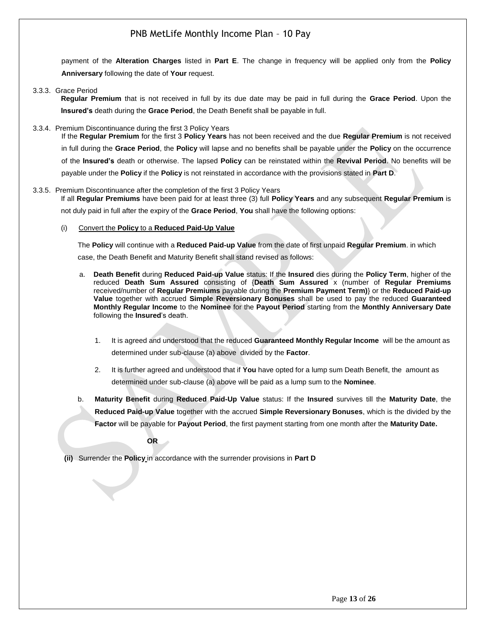payment of the **Alteration Charges** listed in **Part E**. The change in frequency will be applied only from the **Policy Anniversary** following the date of **Your** request.

#### <span id="page-12-0"></span>3.3.3. Grace Period

**Regular Premium** that is not received in full by its due date may be paid in full during the **Grace Period**. Upon the **Insured's** death during the **Grace Period**, the Death Benefit shall be payable in full.

### <span id="page-12-1"></span>3.3.4. Premium Discontinuance during the first 3 Policy Years

If the **Regular Premium** for the first 3 **Policy Years** has not been received and the due **Regular Premium** is not received in full during the **Grace Period**, the **Policy** will lapse and no benefits shall be payable under the **Policy** on the occurrence of the **Insured's** death or otherwise. The lapsed **Policy** can be reinstated within the **Revival Period**. No benefits will be payable under the **Policy** if the **Policy** is not reinstated in accordance with the provisions stated in **Part D**.

#### <span id="page-12-2"></span>3.3.5. Premium Discontinuance after the completion of the first 3 Policy Years If all **Regular Premiums** have been paid for at least three (3) full **Policy Years** and any subsequent **Regular Premium** is

not duly paid in full after the expiry of the **Grace Period**, **You** shall have the following options:

#### (i) Convert the **Policy** to a **Reduced Paid-Up Value**

The **Policy** will continue with a **Reduced Paid-up Value** from the date of first unpaid **Regular Premium**. in which case, the Death Benefit and Maturity Benefit shall stand revised as follows:

- a. **Death Benefit** during **Reduced Paid-up Value** status: If the **Insured** dies during the **Policy Term**, higher of the reduced **Death Sum Assured** consisting of {**Death Sum Assured** x (number of **Regular Premiums** received/number of **Regular Premiums** payable during the **Premium Payment Term)**} or the **Reduced Paid-up Value** together with accrued **Simple Reversionary Bonuses** shall be used to pay the reduced **Guaranteed Monthly Regular Income** to the **Nominee** for the **Payout Period** starting from the **Monthly Anniversary Date** following the **Insured**'s death.
	- 1. It is agreed and understood that the reduced **Guaranteed Monthly Regular Income** will be the amount as determined under sub-clause (a) above divided by the **Factor**.
	- 2. It is further agreed and understood that if **You** have opted for a lump sum Death Benefit, the amount as determined under sub-clause (a) above will be paid as a lump sum to the **Nominee**.
- b. **Maturity Benefit** during **Reduced Paid-Up Value** status: If the **Insured** survives till the **Maturity Date**, the **Reduced Paid-up Value** together with the accrued **Simple Reversionary Bonuses**, which is the divided by the **Factor** will be payable for **Payout Period**, the first payment starting from one month after the **Maturity Date.**

**OR**

**(ii)** Surrender the **Policy** in accordance with the surrender provisions in **Part D**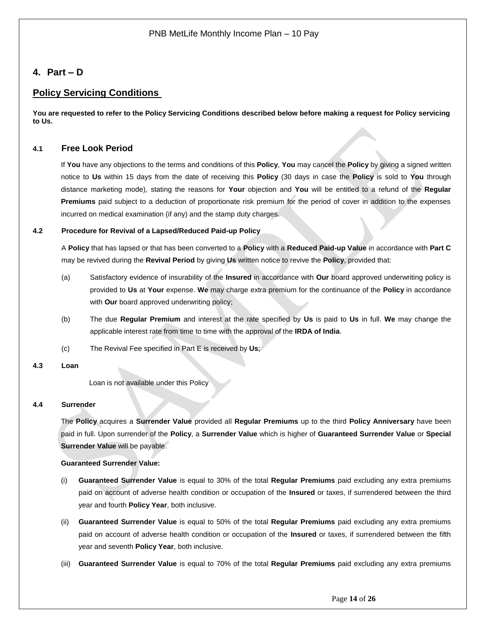### <span id="page-13-0"></span>**4. Part – D**

### **Policy Servicing Conditions**

**You are requested to refer to the Policy Servicing Conditions described below before making a request for Policy servicing to Us.**

### <span id="page-13-1"></span>**4.1 Free Look Period**

If **You** have any objections to the terms and conditions of this **Policy**, **You** may cancel the **Policy** by giving a signed written notice to **Us** within 15 days from the date of receiving this **Policy** (30 days in case the **Policy** is sold to **You** through distance marketing mode), stating the reasons for **Your** objection and **You** will be entitled to a refund of the **Regular Premiums** paid subject to a deduction of proportionate risk premium for the period of cover in addition to the expenses incurred on medical examination (if any) and the stamp duty charges.

### **4.2 Procedure for Revival of a Lapsed/Reduced Paid-up Policy**

A **Policy** that has lapsed or that has been converted to a **Policy** with a **Reduced Paid-up Value** in accordance with **Part C** may be revived during the **Revival Period** by giving **Us** written notice to revive the **Policy**, provided that:

- (a) Satisfactory evidence of insurability of the **Insured** in accordance with **Our** board approved underwriting policy is provided to **Us** at **Your** expense. **We** may charge extra premium for the continuance of the **Policy** in accordance with **Our** board approved underwriting policy;
- (b) The due **Regular Premium** and interest at the rate specified by **Us** is paid to **Us** in full. **We** may change the applicable interest rate from time to time with the approval of the **IRDA of India**.
- (c) The Revival Fee specified in Part E is received by **Us**;

### **4.3 Loan**

Loan is not available under this Policy

### **4.4 Surrender**

The **Policy** acquires a **Surrender Value** provided all **Regular Premiums** up to the third **Policy Anniversary** have been paid in full. Upon surrender of the **Policy**, a **Surrender Value** which is higher of **Guaranteed Surrender Value** or **Special Surrender Value** will be payable.

### **Guaranteed Surrender Value:**

- (i) **Guaranteed Surrender Value** is equal to 30% of the total **Regular Premiums** paid excluding any extra premiums paid on account of adverse health condition or occupation of the **Insured** or taxes, if surrendered between the third year and fourth **Policy Year**, both inclusive.
- (ii) **Guaranteed Surrender Value** is equal to 50% of the total **Regular Premiums** paid excluding any extra premiums paid on account of adverse health condition or occupation of the **Insured** or taxes, if surrendered between the fifth year and seventh **Policy Year**, both inclusive.
- (iii) **Guaranteed Surrender Value** is equal to 70% of the total **Regular Premiums** paid excluding any extra premiums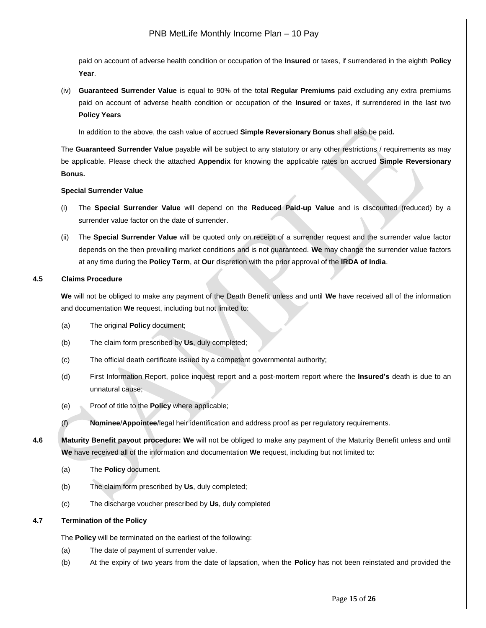paid on account of adverse health condition or occupation of the **Insured** or taxes, if surrendered in the eighth **Policy Year**.

(iv) **Guaranteed Surrender Value** is equal to 90% of the total **Regular Premiums** paid excluding any extra premiums paid on account of adverse health condition or occupation of the **Insured** or taxes, if surrendered in the last two **Policy Years**

In addition to the above, the cash value of accrued **Simple Reversionary Bonus** shall also be paid**.** 

The **Guaranteed Surrender Value** payable will be subject to any statutory or any other restrictions / requirements as may be applicable. Please check the attached **Appendix** for knowing the applicable rates on accrued **Simple Reversionary Bonus.**

#### **Special Surrender Value**

- (i) The **Special Surrender Value** will depend on the **Reduced Paid-up Value** and is discounted (reduced) by a surrender value factor on the date of surrender.
- (ii) The **Special Surrender Value** will be quoted only on receipt of a surrender request and the surrender value factor depends on the then prevailing market conditions and is not guaranteed. **We** may change the surrender value factors at any time during the **Policy Term**, at **Our** discretion with the prior approval of the **IRDA of India**.

### **4.5 Claims Procedure**

**We** will not be obliged to make any payment of the Death Benefit unless and until **We** have received all of the information and documentation **We** request, including but not limited to:

- (a) The original **Policy** document;
- (b) The claim form prescribed by **Us**, duly completed;
- (c) The official death certificate issued by a competent governmental authority;
- (d) First Information Report, police inquest report and a post-mortem report where the **Insured's** death is due to an unnatural cause;
- (e) Proof of title to the **Policy** where applicable;
- (f) **Nominee**/**Appointee**/legal heir identification and address proof as per regulatory requirements.
- **4.6 Maturity Benefit payout procedure: We** will not be obliged to make any payment of the Maturity Benefit unless and until **We** have received all of the information and documentation **We** request, including but not limited to:
	- (a) The **Policy** document.
	- (b) The claim form prescribed by **Us**, duly completed;
	- (c) The discharge voucher prescribed by **Us**, duly completed

#### **4.7 Termination of the Policy**

The **Policy** will be terminated on the earliest of the following:

- (a) The date of payment of surrender value.
- (b) At the expiry of two years from the date of lapsation, when the **Policy** has not been reinstated and provided the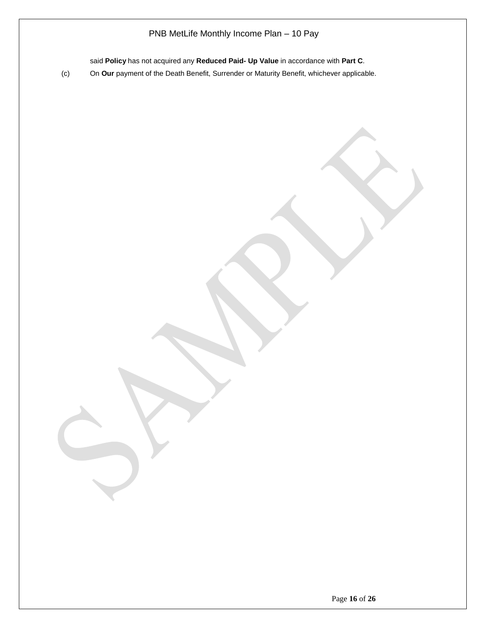said **Policy** has not acquired any **Reduced Paid- Up Value** in accordance with **Part C**.

(c) On **Our** payment of the Death Benefit, Surrender or Maturity Benefit, whichever applicable.

Page **16** of **26**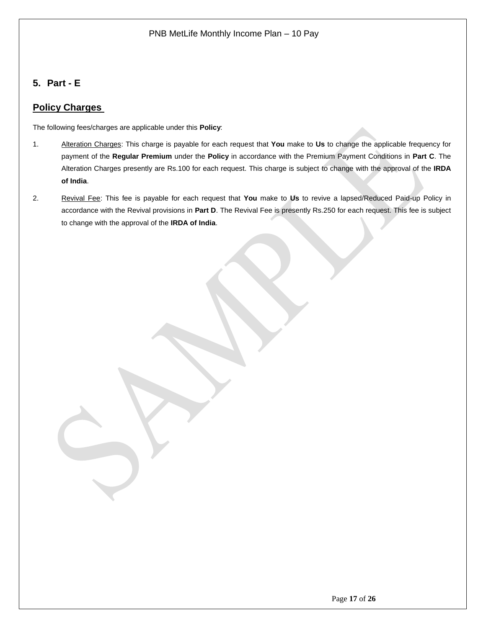## <span id="page-16-0"></span>**5. Part - E**

## **Policy Charges**

The following fees/charges are applicable under this **Policy**:

- 1. Alteration Charges: This charge is payable for each request that **You** make to **Us** to change the applicable frequency for payment of the **Regular Premium** under the **Policy** in accordance with the Premium Payment Conditions in **Part C**. The Alteration Charges presently are Rs.100 for each request. This charge is subject to change with the approval of the **IRDA of India**.
- 2. Revival Fee: This fee is payable for each request that **You** make to **Us** to revive a lapsed/Reduced Paid-up Policy in accordance with the Revival provisions in **Part D**. The Revival Fee is presently Rs.250 for each request. This fee is subject to change with the approval of the **IRDA of India**.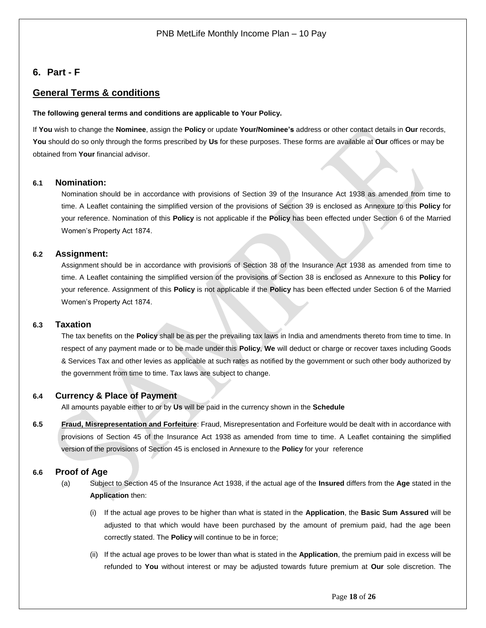### <span id="page-17-0"></span>**6. Part - F**

### **General Terms & conditions**

#### **The following general terms and conditions are applicable to Your Policy.**

If **You** wish to change the **Nominee**, assign the **Policy** or update **Your/Nominee's** address or other contact details in **Our** records, **You** should do so only through the forms prescribed by **Us** for these purposes. These forms are available at **Our** offices or may be obtained from **Your** financial advisor.

### <span id="page-17-1"></span>**6.1 Nomination:**

Nomination should be in accordance with provisions of Section 39 of the Insurance Act 1938 as amended from time to time. A Leaflet containing the simplified version of the provisions of Section 39 is enclosed as Annexure to this **Policy** for your reference. Nomination of this **Policy** is not applicable if the **Policy** has been effected under Section 6 of the Married Women's Property Act 1874.

#### <span id="page-17-2"></span>**6.2 Assignment:**

Assignment should be in accordance with provisions of Section 38 of the Insurance Act 1938 as amended from time to time. A Leaflet containing the simplified version of the provisions of Section 38 is enclosed as Annexure to this **Policy** for your reference. Assignment of this **Policy** is not applicable if the **Policy** has been effected under Section 6 of the Married Women's Property Act 1874.

#### <span id="page-17-3"></span>**6.3 Taxation**

The tax benefits on the **Policy** shall be as per the prevailing tax laws in India and amendments thereto from time to time. In respect of any payment made or to be made under this **Policy**, **We** will deduct or charge or recover taxes including Goods & Services Tax and other levies as applicable at such rates as notified by the government or such other body authorized by the government from time to time. Tax laws are subject to change.

#### <span id="page-17-4"></span>**6.4 Currency & Place of Payment**

All amounts payable either to or by **Us** will be paid in the currency shown in the **Schedule**

**6.5 Fraud, Misrepresentation and Forfeiture**: Fraud, Misrepresentation and Forfeiture would be dealt with in accordance with provisions of Section 45 of the Insurance Act 1938 as amended from time to time. A Leaflet containing the simplified version of the provisions of Section 45 is enclosed in Annexure to the **Policy** for your reference

#### <span id="page-17-5"></span>**6.6 Proof of Age**

- (a) Subject to Section 45 of the Insurance Act 1938, if the actual age of the **Insured** differs from the **Age** stated in the **Application** then:
	- (i) If the actual age proves to be higher than what is stated in the **Application**, the **Basic Sum Assured** will be adjusted to that which would have been purchased by the amount of premium paid, had the age been correctly stated. The **Policy** will continue to be in force;
	- (ii) If the actual age proves to be lower than what is stated in the **Application**, the premium paid in excess will be refunded to **You** without interest or may be adjusted towards future premium at **Our** sole discretion. The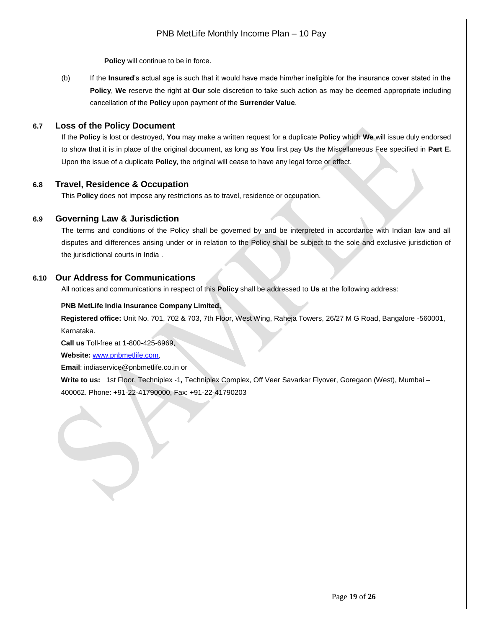**Policy** will continue to be in force.

(b) If the **Insured**'s actual age is such that it would have made him/her ineligible for the insurance cover stated in the **Policy**, **We** reserve the right at **Our** sole discretion to take such action as may be deemed appropriate including cancellation of the **Policy** upon payment of the **Surrender Value**.

### <span id="page-18-0"></span>**6.7 Loss of the Policy Document**

If the **Policy** is lost or destroyed, **You** may make a written request for a duplicate **Policy** which **We** will issue duly endorsed to show that it is in place of the original document, as long as **You** first pay **Us** the Miscellaneous Fee specified in **Part E.** Upon the issue of a duplicate **Policy**, the original will cease to have any legal force or effect.

### <span id="page-18-1"></span>**6.8 Travel, Residence & Occupation**

This **Policy** does not impose any restrictions as to travel, residence or occupation.

### <span id="page-18-2"></span>**6.9 Governing Law & Jurisdiction**

The terms and conditions of the Policy shall be governed by and be interpreted in accordance with Indian law and all disputes and differences arising under or in relation to the Policy shall be subject to the sole and exclusive jurisdiction of the jurisdictional courts in India .

### <span id="page-18-3"></span>**6.10 Our Address for Communications**

All notices and communications in respect of this **Policy** shall be addressed to **Us** at the following address:

#### **PNB MetLife India Insurance Company Limited,**

**Registered office:** Unit No. 701, 702 & 703, 7th Floor, West Wing, Raheja Towers, 26/27 M G Road, Bangalore -560001, Karnataka.

**Call us** Toll-free at 1-800-425-6969,

**Website:** [www.pnbmetlife.com,](http://www.pnbmetlife.com/)

**Email**: indiaservice@pnbmetlife.co.in or

**Write to us:** 1st Floor, Techniplex -1*,* Techniplex Complex, Off Veer Savarkar Flyover, Goregaon (West), Mumbai – 400062. Phone: +91-22-41790000, Fax: +91-22-41790203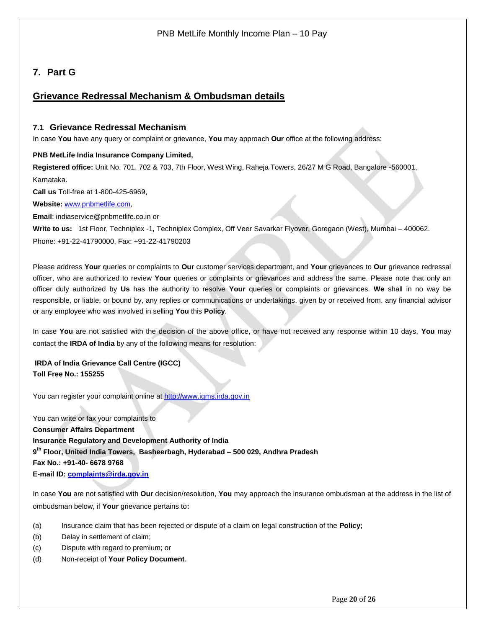## <span id="page-19-0"></span>**7. Part G**

### **Grievance Redressal Mechanism & Ombudsman details**

### <span id="page-19-1"></span>**7.1 Grievance Redressal Mechanism**

In case **You** have any query or complaint or grievance, **You** may approach **Our** office at the following address:

### **PNB MetLife India Insurance Company Limited,**

**Registered office:** Unit No. 701, 702 & 703, 7th Floor, West Wing, Raheja Towers, 26/27 M G Road, Bangalore -560001, Karnataka.

**Call us** Toll-free at 1-800-425-6969,

**Website:** [www.pnbmetlife.com,](http://www.pnbmetlife.com/)

**Email**: indiaservice@pnbmetlife.co.in or

**Write to us:** 1st Floor, Techniplex -1*,* Techniplex Complex, Off Veer Savarkar Flyover, Goregaon (West), Mumbai – 400062. Phone: +91-22-41790000, Fax: +91-22-41790203

Please address **Your** queries or complaints to **Our** customer services department, and **Your** grievances to **Our** grievance redressal officer, who are authorized to review **Your** queries or complaints or grievances and address the same. Please note that only an officer duly authorized by **Us** has the authority to resolve **Your** queries or complaints or grievances. **We** shall in no way be responsible, or liable, or bound by, any replies or communications or undertakings, given by or received from, any financial advisor or any employee who was involved in selling **You** this **Policy**.

In case **You** are not satisfied with the decision of the above office, or have not received any response within 10 days, **You** may contact the **IRDA of India** by any of the following means for resolution:

**IRDA of India Grievance Call Centre (IGCC) Toll Free No.: 155255**

You can register your complaint online at [http://www.igms.irda.gov.in](http://www.igms.irda.gov.in/)

You can write or fax your complaints to **Consumer Affairs Department Insurance Regulatory and Development Authority of India 9 th Floor, United India Towers, Basheerbagh, Hyderabad – 500 029, Andhra Pradesh Fax No.: +91-40- 6678 9768 E-mail ID[: complaints@irda.gov.in](mailto:complaints@irda.gov.in)**

In case **You** are not satisfied with **Our** decision/resolution, **You** may approach the insurance ombudsman at the address in the list of ombudsman below, if **Your** grievance pertains to**:**

- (a) Insurance claim that has been rejected or dispute of a claim on legal construction of the **Policy;**
- (b) Delay in settlement of claim;
- (c) Dispute with regard to premium; or
- (d) Non-receipt of **Your Policy Document**.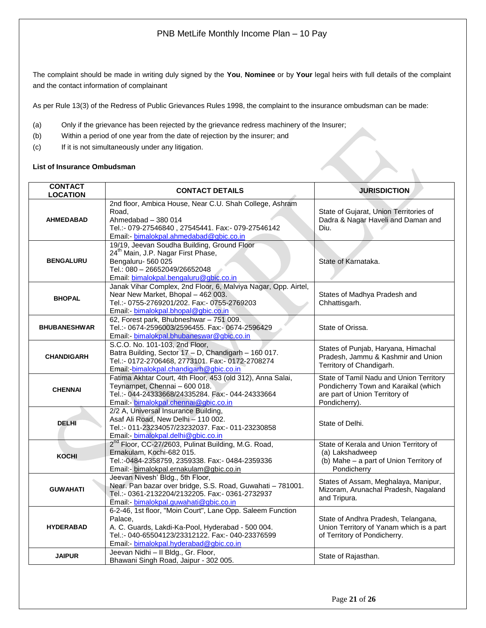The complaint should be made in writing duly signed by the **You**, **Nominee** or by **Your** legal heirs with full details of the complaint and the contact information of complainant

As per Rule 13(3) of the Redress of Public Grievances Rules 1998, the complaint to the insurance ombudsman can be made:

- (a) Only if the grievance has been rejected by the grievance redress machinery of the Insurer;
- (b) Within a period of one year from the date of rejection by the insurer; and
- (c) If it is not simultaneously under any litigation.

#### **List of Insurance Ombudsman**

| <b>CONTACT</b><br><b>LOCATION</b> | <b>CONTACT DETAILS</b>                                                                                                                                                                                                    | <b>JURISDICTION</b>                                                                                                                |  |  |  |
|-----------------------------------|---------------------------------------------------------------------------------------------------------------------------------------------------------------------------------------------------------------------------|------------------------------------------------------------------------------------------------------------------------------------|--|--|--|
| <b>AHMEDABAD</b>                  | 2nd floor, Ambica House, Near C.U. Shah College, Ashram<br>Road,<br>Ahmedabad - 380 014<br>Tel.:- 079-27546840, 27545441. Fax:- 079-27546142<br>Email:- bimalokpal.ahmedabad@gbic.co.in                                   | State of Gujarat, Union Territories of<br>Dadra & Nagar Haveli and Daman and<br>Diu.                                               |  |  |  |
| <b>BENGALURU</b>                  | 19/19, Jeevan Soudha Building, Ground Floor<br>24 <sup>th</sup> Main, J.P. Nagar First Phase,<br>Bengaluru-560 025<br>Tel.: 080 - 26652049/26652048<br>Email: bimalokpal.bengaluru@gbic.co.in                             | State of Karnataka.                                                                                                                |  |  |  |
| <b>BHOPAL</b>                     | Janak Vihar Complex, 2nd Floor, 6, Malviya Nagar, Opp. Airtel,<br>Near New Market, Bhopal - 462 003.<br>Tel.:- 0755-2769201/202. Fax:- 0755-2769203<br>Email:- bimalokpal.bhopal@gbic.co.in                               | States of Madhya Pradesh and<br>Chhattisgarh.                                                                                      |  |  |  |
| <b>BHUBANESHWAR</b>               | 62, Forest park, Bhubneshwar - 751 009.<br>Tel.:- 0674-2596003/2596455. Fax:- 0674-2596429<br>Email:- bimalokpal.bhubaneswar@gbic.co.in                                                                                   | State of Orissa.                                                                                                                   |  |  |  |
| <b>CHANDIGARH</b>                 | S.C.O. No. 101-103, 2nd Floor,<br>Batra Building, Sector 17 - D, Chandigarh - 160 017.<br>Tel.:- 0172-2706468, 2773101. Fax:- 0172-2708274<br>Email: bimalokpal.chandigarh@gbic.co.in                                     | States of Punjab, Haryana, Himachal<br>Pradesh, Jammu & Kashmir and Union<br>Territory of Chandigarh.                              |  |  |  |
| <b>CHENNAI</b>                    | Fatima Akhtar Court, 4th Floor, 453 (old 312), Anna Salai,<br>Teynampet, Chennai - 600 018.<br>Tel.:- 044-24333668/24335284. Fax:- 044-24333664<br>Email: bimalokpal.chennai@gbic.co.in                                   | State of Tamil Nadu and Union Territory<br>Pondicherry Town and Karaikal (which<br>are part of Union Territory of<br>Pondicherry). |  |  |  |
| <b>DELHI</b>                      | 2/2 A, Universal Insurance Building,<br>Asaf Ali Road, New Delhi - 110 002.<br>Tel.:- 011-23234057/23232037. Fax:- 011-23230858<br>Email: bimalokpal.delhi@gbic.co.in                                                     | State of Delhi.                                                                                                                    |  |  |  |
| <b>KOCHI</b>                      | 2 <sup>nd</sup> Floor, CC-27/2603, Pulinat Building, M.G. Road,<br>Ernakulam, Kochi-682 015.<br>Tel.:-0484-2358759, 2359338. Fax:- 0484-2359336<br>Email:- bimalokpal.ernakulam@gbic.co.in                                | State of Kerala and Union Territory of<br>(a) Lakshadweep<br>(b) Mahe - a part of Union Territory of<br>Pondicherry                |  |  |  |
| <b>GUWAHATI</b>                   | Jeevan Nivesh' Bldg., 5th Floor,<br>Near. Pan bazar over bridge, S.S. Road, Guwahati - 781001.<br>Tel.:- 0361-2132204/2132205. Fax:- 0361-2732937<br>Email:- bimalokpal.guwahati@gbic.co.in                               | States of Assam, Meghalaya, Manipur,<br>Mizoram, Arunachal Pradesh, Nagaland<br>and Tripura.                                       |  |  |  |
| <b>HYDERABAD</b>                  | 6-2-46, 1st floor, "Moin Court", Lane Opp. Saleem Function<br>Palace.<br>A. C. Guards, Lakdi-Ka-Pool, Hyderabad - 500 004.<br>Tel.:- 040-65504123/23312122. Fax:- 040-23376599<br>Email:- bimalokpal.hyderabad@gbic.co.in | State of Andhra Pradesh, Telangana,<br>Union Territory of Yanam which is a part<br>of Territory of Pondicherry.                    |  |  |  |
| <b>JAIPUR</b>                     | Jeevan Nidhi - Il Bldg., Gr. Floor,<br>Bhawani Singh Road, Jaipur - 302 005.                                                                                                                                              | State of Rajasthan.                                                                                                                |  |  |  |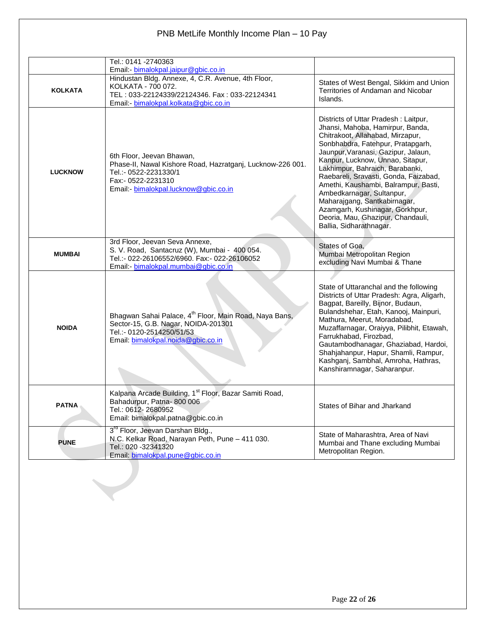|                | Tel.: 0141 -2740363<br>Email: bimalokpal.jaipur@gbic.co.in                                                                                                                      |                                                                                                                                                                                                                                                                                                                                                                                                                                                                                                                  |  |  |  |
|----------------|---------------------------------------------------------------------------------------------------------------------------------------------------------------------------------|------------------------------------------------------------------------------------------------------------------------------------------------------------------------------------------------------------------------------------------------------------------------------------------------------------------------------------------------------------------------------------------------------------------------------------------------------------------------------------------------------------------|--|--|--|
| <b>KOLKATA</b> | Hindustan Bldg. Annexe, 4, C.R. Avenue, 4th Floor,<br>KOLKATA - 700 072.<br>TEL: 033-22124339/22124346. Fax: 033-22124341<br>Email:- bimalokpal.kolkata@gbic.co.in              | States of West Bengal, Sikkim and Union<br>Territories of Andaman and Nicobar<br>Islands.                                                                                                                                                                                                                                                                                                                                                                                                                        |  |  |  |
| <b>LUCKNOW</b> | 6th Floor, Jeevan Bhawan,<br>Phase-II, Nawal Kishore Road, Hazratganj, Lucknow-226 001.<br>Tel.:- 0522-2231330/1<br>Fax:- 0522-2231310<br>Email:- bimalokpal.lucknow@gbic.co.in | Districts of Uttar Pradesh: Laitpur,<br>Jhansi, Mahoba, Hamirpur, Banda,<br>Chitrakoot, Allahabad, Mirzapur,<br>Sonbhabdra, Fatehpur, Pratapgarh,<br>Jaunpur, Varanasi, Gazipur, Jalaun,<br>Kanpur, Lucknow, Unnao, Sitapur,<br>Lakhimpur, Bahraich, Barabanki,<br>Raebareli, Sravasti, Gonda, Faizabad,<br>Amethi, Kaushambi, Balrampur, Basti,<br>Ambedkarnagar, Sultanpur,<br>Maharajgang, Santkabirnagar,<br>Azamgarh, Kushinagar, Gorkhpur,<br>Deoria, Mau, Ghazipur, Chandauli,<br>Ballia, Sidharathnagar. |  |  |  |
| <b>MUMBAI</b>  | 3rd Floor, Jeevan Seva Annexe,<br>S. V. Road, Santacruz (W), Mumbai - 400 054.<br>Tel.:- 022-26106552/6960. Fax:- 022-26106052<br>Email:- bimalokpal.mumbai@gbic.co.in          | States of Goa,<br>Mumbai Metropolitan Region<br>excluding Navi Mumbai & Thane                                                                                                                                                                                                                                                                                                                                                                                                                                    |  |  |  |
| <b>NOIDA</b>   | Bhagwan Sahai Palace, 4 <sup>th</sup> Floor, Main Road, Naya Bans,<br>Sector-15, G.B. Nagar, NOIDA-201301<br>Tel.:- 0120-2514250/51/53<br>Email: bimalokpal.noida@gbic.co.in    | State of Uttaranchal and the following<br>Districts of Uttar Pradesh: Agra, Aligarh,<br>Bagpat, Bareilly, Bijnor, Budaun,<br>Bulandshehar, Etah, Kanooj, Mainpuri,<br>Mathura, Meerut, Moradabad,<br>Muzaffarnagar, Oraiyya, Pilibhit, Etawah,<br>Farrukhabad, Firozbad,<br>Gautambodhanagar, Ghaziabad, Hardoi,<br>Shahjahanpur, Hapur, Shamli, Rampur,<br>Kashganj, Sambhal, Amroha, Hathras,<br>Kanshiramnagar, Saharanpur.                                                                                   |  |  |  |
| <b>PATNA</b>   | Kalpana Arcade Building, 1 <sup>st</sup> Floor, Bazar Samiti Road,<br>Bahadurpur, Patna-800 006<br>Tel.: 0612-2680952<br>Email: bimalokpal.patna@gbic.co.in                     | States of Bihar and Jharkand                                                                                                                                                                                                                                                                                                                                                                                                                                                                                     |  |  |  |
| <b>PUNE</b>    | 3 <sup>rd</sup> Floor, Jeevan Darshan Bldg.,<br>N.C. Kelkar Road, Narayan Peth, Pune - 411 030.<br>Tel.: 020 -32341320<br>Email: bimalokpal.pune@gbic.co.in                     | State of Maharashtra, Area of Navi<br>Mumbai and Thane excluding Mumbai<br>Metropolitan Region.                                                                                                                                                                                                                                                                                                                                                                                                                  |  |  |  |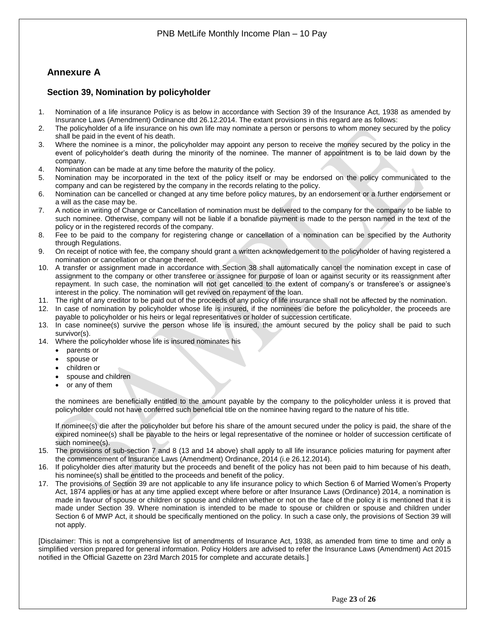## <span id="page-22-0"></span>**Annexure A**

### <span id="page-22-1"></span>**Section 39, Nomination by policyholder**

- 1. Nomination of a life insurance Policy is as below in accordance with Section 39 of the Insurance Act, 1938 as amended by Insurance Laws (Amendment) Ordinance dtd 26.12.2014. The extant provisions in this regard are as follows:
- 2. The policyholder of a life insurance on his own life may nominate a person or persons to whom money secured by the policy shall be paid in the event of his death.
- 3. Where the nominee is a minor, the policyholder may appoint any person to receive the money secured by the policy in the event of policyholder's death during the minority of the nominee. The manner of appointment is to be laid down by the company.
- 4. Nomination can be made at any time before the maturity of the policy.
- 5. Nomination may be incorporated in the text of the policy itself or may be endorsed on the policy communicated to the company and can be registered by the company in the records relating to the policy.
- 6. Nomination can be cancelled or changed at any time before policy matures, by an endorsement or a further endorsement or a will as the case may be.
- 7. A notice in writing of Change or Cancellation of nomination must be delivered to the company for the company to be liable to such nominee. Otherwise, company will not be liable if a bonafide payment is made to the person named in the text of the policy or in the registered records of the company.
- 8. Fee to be paid to the company for registering change or cancellation of a nomination can be specified by the Authority through Regulations.
- 9. On receipt of notice with fee, the company should grant a written acknowledgement to the policyholder of having registered a nomination or cancellation or change thereof.
- 10. A transfer or assignment made in accordance with Section 38 shall automatically cancel the nomination except in case of assignment to the company or other transferee or assignee for purpose of loan or against security or its reassignment after repayment. In such case, the nomination will not get cancelled to the extent of company's or transferee's or assignee's interest in the policy. The nomination will get revived on repayment of the loan.
- 11. The right of any creditor to be paid out of the proceeds of any policy of life insurance shall not be affected by the nomination.
- 12. In case of nomination by policyholder whose life is insured, if the nominees die before the policyholder, the proceeds are payable to policyholder or his heirs or legal representatives or holder of succession certificate.
- 13. In case nominee(s) survive the person whose life is insured, the amount secured by the policy shall be paid to such survivor(s).
- 14. Where the policyholder whose life is insured nominates his
	- parents or
	- spouse or
	- children or
	- spouse and children
	- or any of them

the nominees are beneficially entitled to the amount payable by the company to the policyholder unless it is proved that policyholder could not have conferred such beneficial title on the nominee having regard to the nature of his title.

If nominee(s) die after the policyholder but before his share of the amount secured under the policy is paid, the share of the expired nominee(s) shall be payable to the heirs or legal representative of the nominee or holder of succession certificate of such nominee(s).

- 15. The provisions of sub-section 7 and 8 (13 and 14 above) shall apply to all life insurance policies maturing for payment after the commencement of Insurance Laws (Amendment) Ordinance, 2014 (i.e 26.12.2014).
- 16. If policyholder dies after maturity but the proceeds and benefit of the policy has not been paid to him because of his death, his nominee(s) shall be entitled to the proceeds and benefit of the policy.
- 17. The provisions of Section 39 are not applicable to any life insurance policy to which Section 6 of Married Women's Property Act, 1874 applies or has at any time applied except where before or after Insurance Laws (Ordinance) 2014, a nomination is made in favour of spouse or children or spouse and children whether or not on the face of the policy it is mentioned that it is made under Section 39. Where nomination is intended to be made to spouse or children or spouse and children under Section 6 of MWP Act, it should be specifically mentioned on the policy. In such a case only, the provisions of Section 39 will not apply.

[Disclaimer: This is not a comprehensive list of amendments of Insurance Act, 1938, as amended from time to time and only a simplified version prepared for general information. Policy Holders are advised to refer the Insurance Laws (Amendment) Act 2015 notified in the Official Gazette on 23rd March 2015 for complete and accurate details.]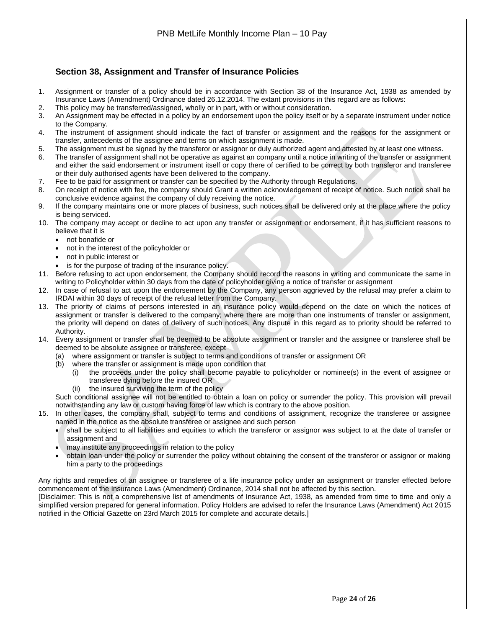### <span id="page-23-0"></span>**Section 38, Assignment and Transfer of Insurance Policies**

- 1. Assignment or transfer of a policy should be in accordance with Section 38 of the Insurance Act, 1938 as amended by Insurance Laws (Amendment) Ordinance dated 26.12.2014. The extant provisions in this regard are as follows:
- 2. This policy may be transferred/assigned, wholly or in part, with or without consideration.
- 3. An Assignment may be effected in a policy by an endorsement upon the policy itself or by a separate instrument under notice to the Company.
- 4. The instrument of assignment should indicate the fact of transfer or assignment and the reasons for the assignment or transfer, antecedents of the assignee and terms on which assignment is made.
- 5. The assignment must be signed by the transferor or assignor or duly authorized agent and attested by at least one witness.
- 6. The transfer of assignment shall not be operative as against an company until a notice in writing of the transfer or assignment and either the said endorsement or instrument itself or copy there of certified to be correct by both transferor and transferee or their duly authorised agents have been delivered to the company.
- 7. Fee to be paid for assignment or transfer can be specified by the Authority through Regulations.
- 8. On receipt of notice with fee, the company should Grant a written acknowledgement of receipt of notice. Such notice shall be conclusive evidence against the company of duly receiving the notice.
- 9. If the company maintains one or more places of business, such notices shall be delivered only at the place where the policy is being serviced.
- 10. The company may accept or decline to act upon any transfer or assignment or endorsement, if it has sufficient reasons to believe that it is
	- not bonafide or
	- not in the interest of the policyholder or
	- not in public interest or
	- is for the purpose of trading of the insurance policy.
- 11. Before refusing to act upon endorsement, the Company should record the reasons in writing and communicate the same in writing to Policyholder within 30 days from the date of policyholder giving a notice of transfer or assignment
- 12. In case of refusal to act upon the endorsement by the Company, any person aggrieved by the refusal may prefer a claim to IRDAI within 30 days of receipt of the refusal letter from the Company.
- 13. The priority of claims of persons interested in an insurance policy would depend on the date on which the notices of assignment or transfer is delivered to the company; where there are more than one instruments of transfer or assignment, the priority will depend on dates of delivery of such notices. Any dispute in this regard as to priority should be referred to Authority.
- 14. Every assignment or transfer shall be deemed to be absolute assignment or transfer and the assignee or transferee shall be deemed to be absolute assignee or transferee, except
	- (a) where assignment or transfer is subject to terms and conditions of transfer or assignment OR
	- (b) where the transfer or assignment is made upon condition that
		- (i) the proceeds under the policy shall become payable to policyholder or nominee(s) in the event of assignee or transferee dying before the insured OR
		- (ii) the insured surviving the term of the policy

Such conditional assignee will not be entitled to obtain a loan on policy or surrender the policy. This provision will prevail notwithstanding any law or custom having force of law which is contrary to the above position.

15. In other cases, the company shall, subject to terms and conditions of assignment, recognize the transferee or assignee named in the notice as the absolute transferee or assignee and such person

- shall be subject to all liabilities and equities to which the transferor or assignor was subject to at the date of transfer or assignment and
- may institute any proceedings in relation to the policy
- obtain loan under the policy or surrender the policy without obtaining the consent of the transferor or assignor or making him a party to the proceedings

Any rights and remedies of an assignee or transferee of a life insurance policy under an assignment or transfer effected before commencement of the Insurance Laws (Amendment) Ordinance, 2014 shall not be affected by this section.

[Disclaimer: This is not a comprehensive list of amendments of Insurance Act, 1938, as amended from time to time and only a simplified version prepared for general information. Policy Holders are advised to refer the Insurance Laws (Amendment) Act 2015 notified in the Official Gazette on 23rd March 2015 for complete and accurate details.]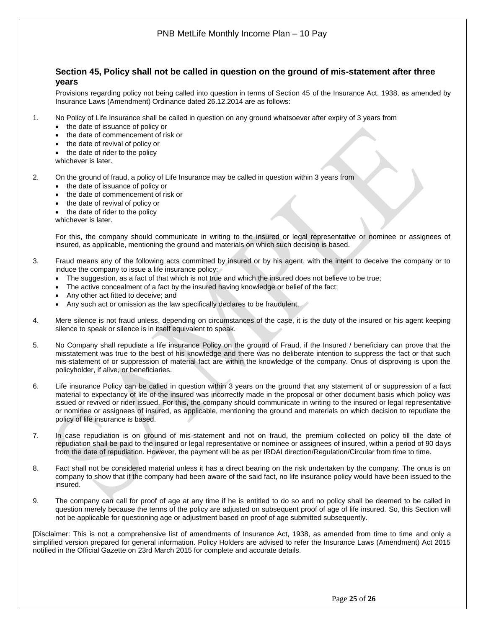<span id="page-24-0"></span>

- 7. In case repudiation is on ground of mis-statement and not on fraud, the premium collected on policy till the date of repudiation shall be paid to the insured or legal representative or nominee or assignees of insured, within a period of 90 days from the date of repudiation. However, the payment will be as per IRDAI direction/Regulation/Circular from time to time.
- 8. Fact shall not be considered material unless it has a direct bearing on the risk undertaken by the company. The onus is on company to show that if the company had been aware of the said fact, no life insurance policy would have been issued to the insured.
- 9. The company can call for proof of age at any time if he is entitled to do so and no policy shall be deemed to be called in question merely because the terms of the policy are adjusted on subsequent proof of age of life insured. So, this Section will not be applicable for questioning age or adjustment based on proof of age submitted subsequently.

[Disclaimer: This is not a comprehensive list of amendments of Insurance Act, 1938, as amended from time to time and only a simplified version prepared for general information. Policy Holders are advised to refer the Insurance Laws (Amendment) Act 2015 notified in the Official Gazette on 23rd March 2015 for complete and accurate details.